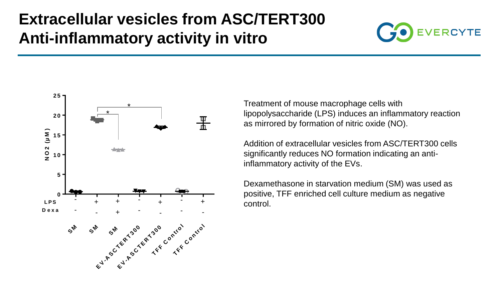## **Extracellular vesicles from ASC/TERT300 Anti-inflammatory activity in vitro**





Treatment of mouse macrophage cells with lipopolysaccharide (LPS) induces an inflammatory reaction as mirrored by formation of nitric oxide (NO).

Addition of extracellular vesicles from ASC/TERT300 cells significantly reduces NO formation indicating an antiinflammatory activity of the EVs.

Dexamethasone in starvation medium (SM) was used as positive, TFF enriched cell culture medium as negative control.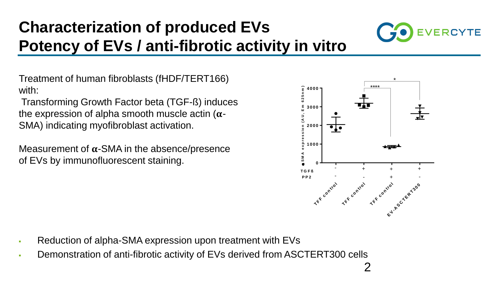# **Characterization of produced EVs Potency of EVs / anti-fibrotic activity in vitro**



Treatment of human fibroblasts (fHDF/TERT166) with:

Transforming Growth Factor beta (TGF-ß) induces the expression of alpha smooth muscle actin ( $\alpha$ -SMA) indicating myofibroblast activation.

Measurement of  $\alpha$ -SMA in the absence/presence of EVs by immunofluorescent staining.



- Reduction of alpha-SMA expression upon treatment with EVs
- **EXECTERT300 CONSTRATE:** Demonstration of anti-fibrotic activity of EVs derived from ASCTERT300 cells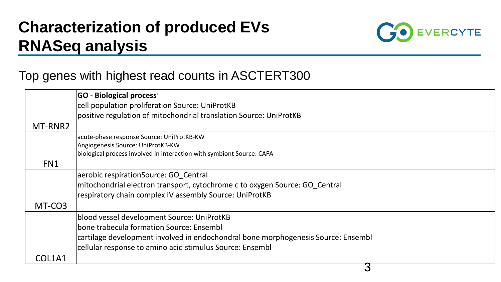## **Characterization of produced EVs RNASeq analysis**



#### Top genes with highest read counts in ASCTERT300

|         | GO - Biological processi                                                          |
|---------|-----------------------------------------------------------------------------------|
|         | cell population proliferation Source: UniProtKB                                   |
|         | positive regulation of mitochondrial translation Source: UniProtKB                |
| MT-RNR2 |                                                                                   |
|         | acute-phase response Source: UniProtKB-KW                                         |
|         | Angiogenesis Source: UniProtKB-KW                                                 |
|         | biological process involved in interaction with symbiont Source: CAFA             |
| FN1     |                                                                                   |
|         | aerobic respirationSource: GO Central                                             |
|         | mitochondrial electron transport, cytochrome c to oxygen Source: GO_Central       |
|         | respiratory chain complex IV assembly Source: UniProtKB                           |
| MT-CO3  |                                                                                   |
|         | blood vessel development Source: UniProtKB                                        |
|         | bone trabecula formation Source: Ensembl                                          |
|         | cartilage development involved in endochondral bone morphogenesis Source: Ensembl |
|         | cellular response to amino acid stimulus Source: Ensembl                          |
| COL1A1  |                                                                                   |
|         |                                                                                   |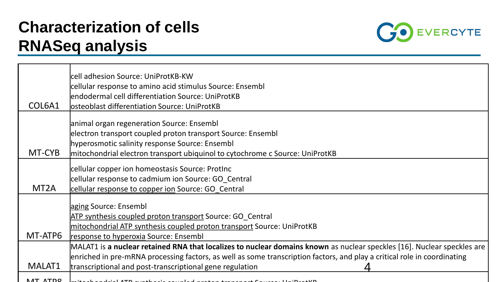## **Characterization of cells RNASeq analysis**



|                   | cell adhesion Source: UniProtKB-KW                                                                                       |
|-------------------|--------------------------------------------------------------------------------------------------------------------------|
|                   | cellular response to amino acid stimulus Source: Ensembl                                                                 |
|                   | endodermal cell differentiation Source: UniProtKB                                                                        |
| COL6A1            | losteoblast differentiation Source: UniProtKB                                                                            |
|                   | animal organ regeneration Source: Ensembl                                                                                |
|                   | electron transport coupled proton transport Source: Ensembl                                                              |
|                   | hyperosmotic salinity response Source: Ensembl                                                                           |
| MT-CYB            | mitochondrial electron transport ubiquinol to cytochrome c Source: UniProtKB                                             |
|                   |                                                                                                                          |
|                   | cellular copper ion homeostasis Source: ProtInc                                                                          |
|                   | cellular response to cadmium ion Source: GO Central                                                                      |
| MT <sub>2</sub> A | cellular response to copper ion Source: GO Central                                                                       |
|                   |                                                                                                                          |
|                   | aging Source: Ensembl                                                                                                    |
|                   | ATP synthesis coupled proton transport Source: GO Central                                                                |
|                   | mitochondrial ATP synthesis coupled proton transport Source: UniProtKB                                                   |
| MT-ATP6           | response to hyperoxia Source: Ensembl                                                                                    |
|                   | MALAT1 is a nuclear retained RNA that localizes to nuclear domains known as nuclear speckles [16]. Nuclear speckles are  |
|                   | enriched in pre-mRNA processing factors, as well as some transcription factors, and play a critical role in coordinating |
| MALAT1            | transcriptional and post-transcriptional gene regulation                                                                 |
| <b>NAT ATDO</b>   |                                                                                                                          |